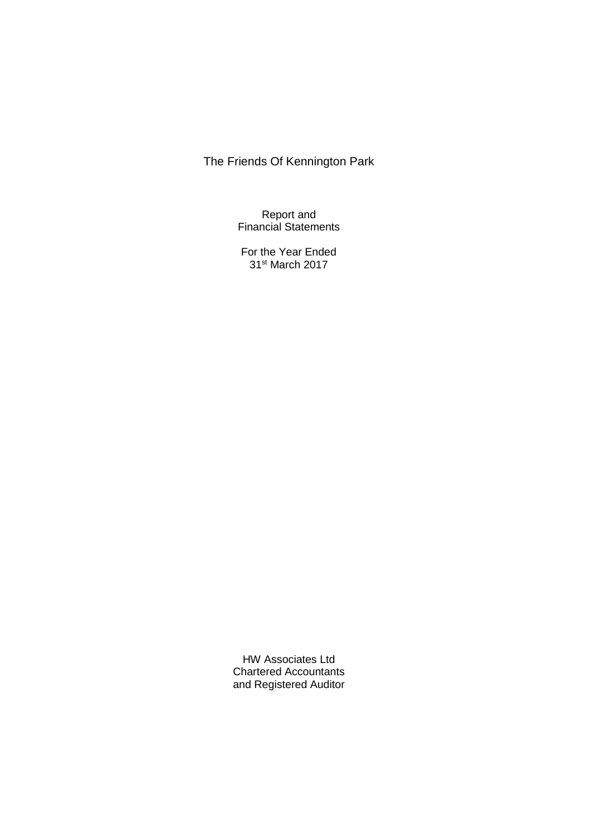Report and Financial Statements

For the Year Ended 31st March 2017

HW Associates Ltd Chartered Accountants and Registered Auditor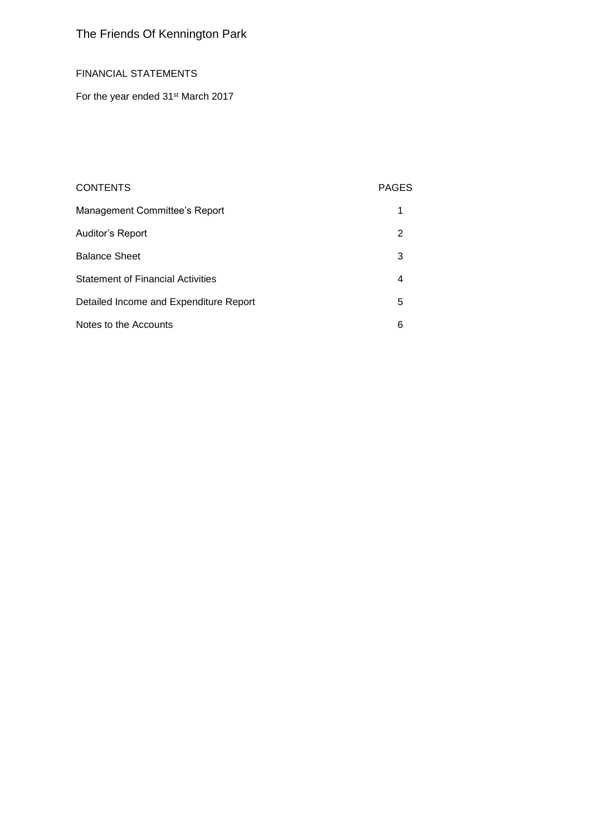### FINANCIAL STATEMENTS

For the year ended 31<sup>st</sup> March 2017

### CONTENTS PAGES

| Management Committee's Report            |   |
|------------------------------------------|---|
| Auditor's Report                         | 2 |
| <b>Balance Sheet</b>                     | 3 |
| <b>Statement of Financial Activities</b> | 4 |
| Detailed Income and Expenditure Report   | 5 |
| Notes to the Accounts                    | 6 |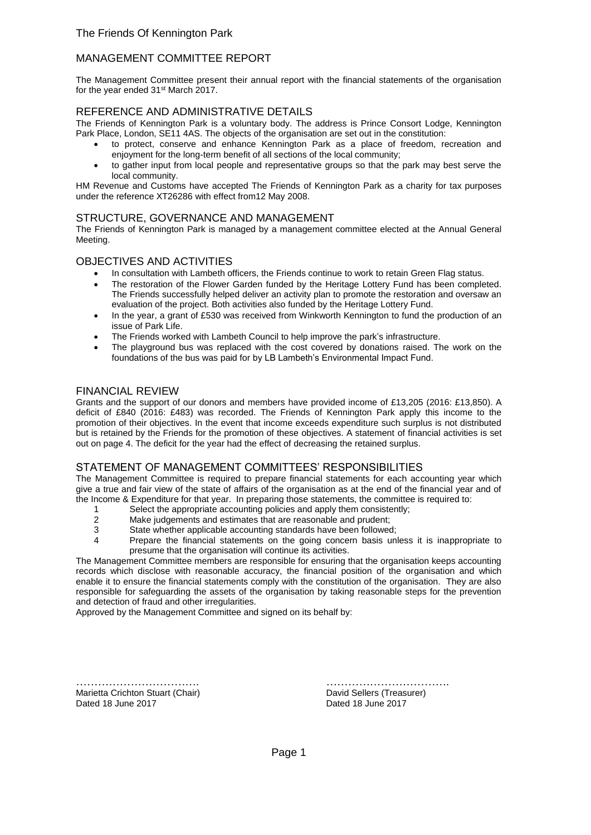### MANAGEMENT COMMITTEE REPORT

The Management Committee present their annual report with the financial statements of the organisation for the year ended 31<sup>st</sup> March 2017.

#### REFERENCE AND ADMINISTRATIVE DETAILS

The Friends of Kennington Park is a voluntary body. The address is Prince Consort Lodge, Kennington Park Place, London, SE11 4AS. The objects of the organisation are set out in the constitution:

- to protect, conserve and enhance Kennington Park as a place of freedom, recreation and enjoyment for the long-term benefit of all sections of the local community;
- to gather input from local people and representative groups so that the park may best serve the local community.

HM Revenue and Customs have accepted The Friends of Kennington Park as a charity for tax purposes under the reference XT26286 with effect from12 May 2008.

#### STRUCTURE, GOVERNANCE AND MANAGEMENT

The Friends of Kennington Park is managed by a management committee elected at the Annual General Meeting.

#### OBJECTIVES AND ACTIVITIES

- In consultation with Lambeth officers, the Friends continue to work to retain Green Flag status.
- The restoration of the Flower Garden funded by the Heritage Lottery Fund has been completed. The Friends successfully helped deliver an activity plan to promote the restoration and oversaw an evaluation of the project. Both activities also funded by the Heritage Lottery Fund.
- In the year, a grant of £530 was received from Winkworth Kennington to fund the production of an issue of Park Life.
- The Friends worked with Lambeth Council to help improve the park's infrastructure.
- The playground bus was replaced with the cost covered by donations raised. The work on the foundations of the bus was paid for by LB Lambeth's Environmental Impact Fund.

#### FINANCIAL REVIEW

Grants and the support of our donors and members have provided income of £13,205 (2016: £13,850). A deficit of £840 (2016: £483) was recorded. The Friends of Kennington Park apply this income to the promotion of their objectives. In the event that income exceeds expenditure such surplus is not distributed but is retained by the Friends for the promotion of these objectives. A statement of financial activities is set out on page 4. The deficit for the year had the effect of decreasing the retained surplus.

### STATEMENT OF MANAGEMENT COMMITTEES' RESPONSIBILITIES

The Management Committee is required to prepare financial statements for each accounting year which give a true and fair view of the state of affairs of the organisation as at the end of the financial year and of the Income & Expenditure for that year. In preparing those statements, the committee is required to:

- 1 Select the appropriate accounting policies and apply them consistently;<br>2 Make judgements and estimates that are reasonable and prudent:
- 2 Make judgements and estimates that are reasonable and prudent;
- State whether applicable accounting standards have been followed;
- 4 Prepare the financial statements on the going concern basis unless it is inappropriate to presume that the organisation will continue its activities.

The Management Committee members are responsible for ensuring that the organisation keeps accounting records which disclose with reasonable accuracy, the financial position of the organisation and which enable it to ensure the financial statements comply with the constitution of the organisation. They are also responsible for safeguarding the assets of the organisation by taking reasonable steps for the prevention and detection of fraud and other irregularities.

Approved by the Management Committee and signed on its behalf by:

Marietta Crichton Stuart (Chair) David Sellers (Treasurer) Dated 18 June 2017 **Dated 18 June 2017** 

……………………………. …………………………….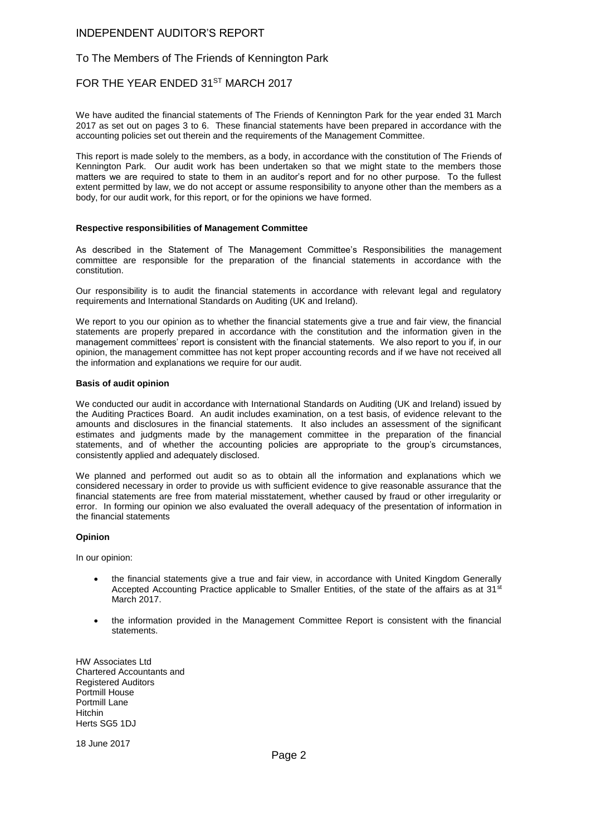#### INDEPENDENT AUDITOR'S REPORT

#### To The Members of The Friends of Kennington Park

#### FOR THE YEAR ENDED 31ST MARCH 2017

We have audited the financial statements of The Friends of Kennington Park for the year ended 31 March 2017 as set out on pages 3 to 6. These financial statements have been prepared in accordance with the accounting policies set out therein and the requirements of the Management Committee.

This report is made solely to the members, as a body, in accordance with the constitution of The Friends of Kennington Park. Our audit work has been undertaken so that we might state to the members those matters we are required to state to them in an auditor's report and for no other purpose. To the fullest extent permitted by law, we do not accept or assume responsibility to anyone other than the members as a body, for our audit work, for this report, or for the opinions we have formed.

#### **Respective responsibilities of Management Committee**

As described in the Statement of The Management Committee's Responsibilities the management committee are responsible for the preparation of the financial statements in accordance with the constitution.

Our responsibility is to audit the financial statements in accordance with relevant legal and regulatory requirements and International Standards on Auditing (UK and Ireland).

We report to you our opinion as to whether the financial statements give a true and fair view, the financial statements are properly prepared in accordance with the constitution and the information given in the management committees' report is consistent with the financial statements. We also report to you if, in our opinion, the management committee has not kept proper accounting records and if we have not received all the information and explanations we require for our audit.

#### **Basis of audit opinion**

We conducted our audit in accordance with International Standards on Auditing (UK and Ireland) issued by the Auditing Practices Board. An audit includes examination, on a test basis, of evidence relevant to the amounts and disclosures in the financial statements. It also includes an assessment of the significant estimates and judgments made by the management committee in the preparation of the financial statements, and of whether the accounting policies are appropriate to the group's circumstances, consistently applied and adequately disclosed.

We planned and performed out audit so as to obtain all the information and explanations which we considered necessary in order to provide us with sufficient evidence to give reasonable assurance that the financial statements are free from material misstatement, whether caused by fraud or other irregularity or error. In forming our opinion we also evaluated the overall adequacy of the presentation of information in the financial statements

#### **Opinion**

In our opinion:

- the financial statements give a true and fair view, in accordance with United Kingdom Generally Accepted Accounting Practice applicable to Smaller Entities, of the state of the affairs as at 31<sup>st</sup> March 2017.
- the information provided in the Management Committee Report is consistent with the financial statements.

HW Associates Ltd Chartered Accountants and Registered Auditors Portmill House Portmill Lane Hitchin Herts SG5 1DJ

18 June 2017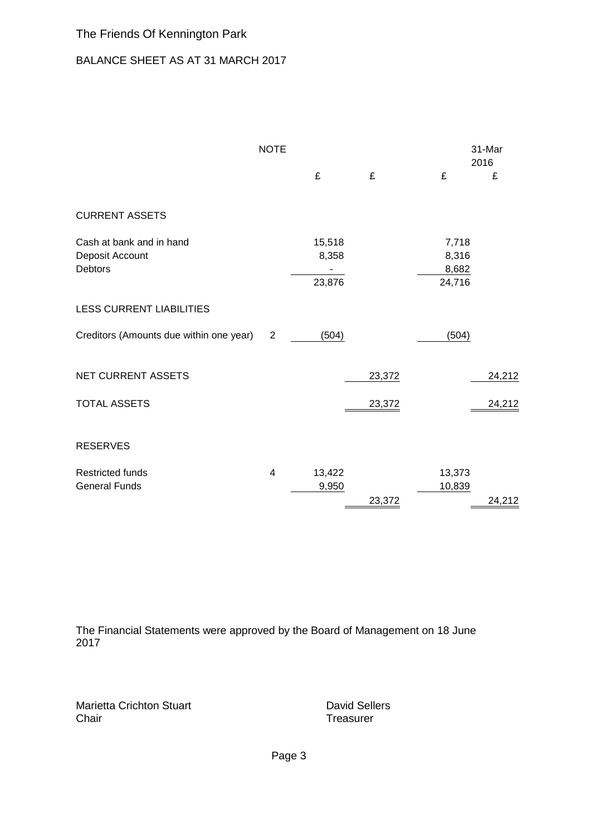### BALANCE SHEET AS AT 31 MARCH 2017

|                                                               | <b>NOTE</b>             |                           |        |                                   | 31-Mar<br>2016 |
|---------------------------------------------------------------|-------------------------|---------------------------|--------|-----------------------------------|----------------|
|                                                               |                         | £                         | £      | £                                 | £              |
| <b>CURRENT ASSETS</b>                                         |                         |                           |        |                                   |                |
| Cash at bank and in hand<br>Deposit Account<br><b>Debtors</b> |                         | 15,518<br>8,358<br>23,876 |        | 7,718<br>8,316<br>8,682<br>24,716 |                |
| <b>LESS CURRENT LIABILITIES</b>                               |                         |                           |        |                                   |                |
| Creditors (Amounts due within one year)                       | $\overline{2}$          | (504)                     |        | (504)                             |                |
| <b>NET CURRENT ASSETS</b>                                     |                         |                           | 23,372 |                                   | 24,212         |
| <b>TOTAL ASSETS</b>                                           |                         |                           | 23,372 |                                   | 24,212         |
| <b>RESERVES</b>                                               |                         |                           |        |                                   |                |
| <b>Restricted funds</b><br><b>General Funds</b>               | $\overline{\mathbf{4}}$ | 13,422<br>9,950           | 23,372 | 13,373<br>10,839                  | 24,212         |

The Financial Statements were approved by the Board of Management on 18 June 2017

Marietta Crichton Stuart **David Sellers** David Sellers Chair **Chair** Treasurer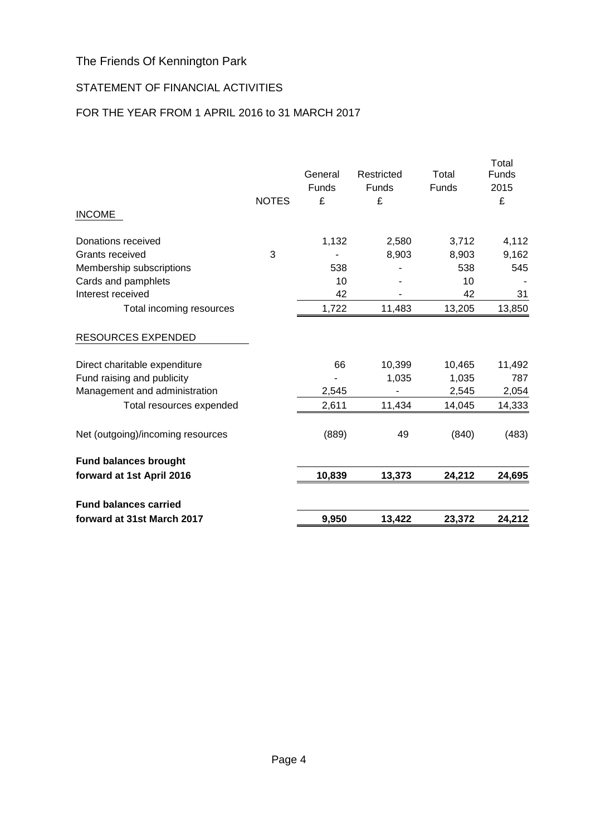### STATEMENT OF FINANCIAL ACTIVITIES

### FOR THE YEAR FROM 1 APRIL 2016 to 31 MARCH 2017

| forward at 31st March 2017          |              | 9,950   | 13,422         | 23,372         | 24,212         |
|-------------------------------------|--------------|---------|----------------|----------------|----------------|
| <b>Fund balances carried</b>        |              |         |                |                |                |
| forward at 1st April 2016           |              | 10,839  | 13,373         | 24,212         | 24,695         |
| <b>Fund balances brought</b>        |              |         |                |                |                |
| Net (outgoing)/incoming resources   |              | (889)   | 49             | (840)          | (483)          |
| Total resources expended            |              | 2,611   | 11,434         | 14,045         | 14,333         |
| Management and administration       |              | 2,545   |                | 2,545          | 2,054          |
| Fund raising and publicity          |              |         | 1,035          | 1,035          | 787            |
| Direct charitable expenditure       |              | 66      | 10,399         | 10,465         | 11,492         |
| <b>RESOURCES EXPENDED</b>           |              |         |                |                |                |
| Total incoming resources            |              | 1,722   | 11,483         | 13,205         | 13,850         |
| Interest received                   |              | 42      |                | 42             | 31             |
| Cards and pamphlets                 |              | 10      |                | 10             |                |
| Membership subscriptions            |              | 538     |                | 538            | 545            |
| Grants received                     | 3            | 1,132   | 2,580<br>8,903 | 3,712<br>8,903 | 4,112<br>9,162 |
| <b>INCOME</b><br>Donations received |              |         |                |                |                |
|                                     | <b>NOTES</b> | £       | £              |                | £              |
|                                     |              | Funds   | Funds          | Funds          | 2015           |
|                                     |              | General | Restricted     | Total          | Funds          |
|                                     |              |         |                |                | Total          |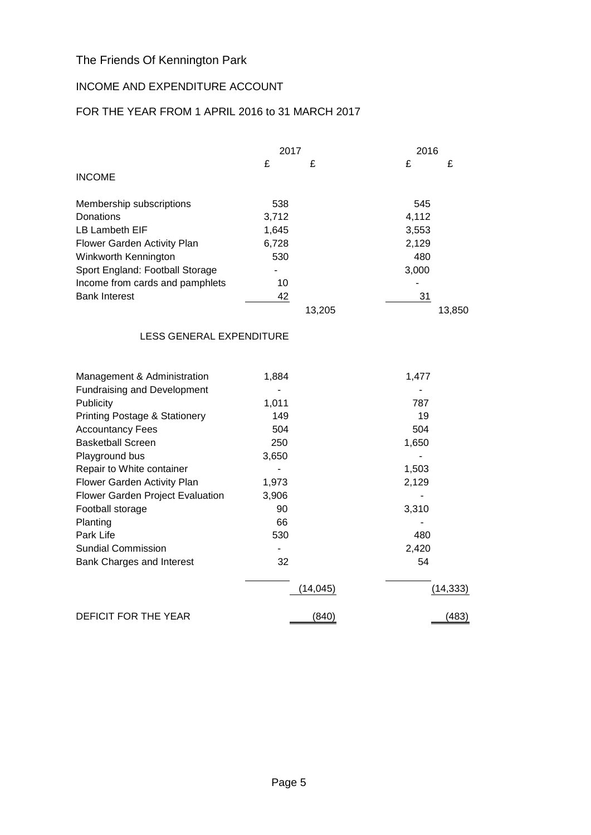### INCOME AND EXPENDITURE ACCOUNT

### FOR THE YEAR FROM 1 APRIL 2016 to 31 MARCH 2017

|                                          | 2017  |          | 2016  |           |
|------------------------------------------|-------|----------|-------|-----------|
|                                          | £     | £        | £     | £         |
| <b>INCOME</b>                            |       |          |       |           |
| Membership subscriptions                 | 538   |          | 545   |           |
| Donations                                | 3,712 |          | 4,112 |           |
| LB Lambeth EIF                           | 1,645 |          | 3,553 |           |
| Flower Garden Activity Plan              | 6,728 |          | 2,129 |           |
| Winkworth Kennington                     | 530   |          | 480   |           |
| Sport England: Football Storage          |       |          | 3,000 |           |
| Income from cards and pamphlets          | 10    |          |       |           |
| <b>Bank Interest</b>                     | 42    |          | 31    |           |
|                                          |       | 13,205   |       | 13,850    |
| LESS GENERAL EXPENDITURE                 |       |          |       |           |
| Management & Administration              | 1,884 |          | 1,477 |           |
| <b>Fundraising and Development</b>       |       |          |       |           |
| Publicity                                | 1,011 |          | 787   |           |
| <b>Printing Postage &amp; Stationery</b> | 149   |          | 19    |           |
| <b>Accountancy Fees</b>                  | 504   |          | 504   |           |
| <b>Basketball Screen</b>                 | 250   |          | 1,650 |           |
| Playground bus                           | 3,650 |          |       |           |
| Repair to White container                |       |          | 1,503 |           |
| Flower Garden Activity Plan              | 1,973 |          | 2,129 |           |
| Flower Garden Project Evaluation         | 3,906 |          |       |           |
| Football storage                         | 90    |          | 3,310 |           |
| Planting                                 | 66    |          |       |           |
| Park Life                                | 530   |          | 480   |           |
| <b>Sundial Commission</b>                |       |          | 2,420 |           |
| Bank Charges and Interest                | 32    |          | 54    |           |
|                                          |       | (14,045) |       | (14, 333) |
| DEFICIT FOR THE YEAR                     |       | (840)    |       | (483)     |